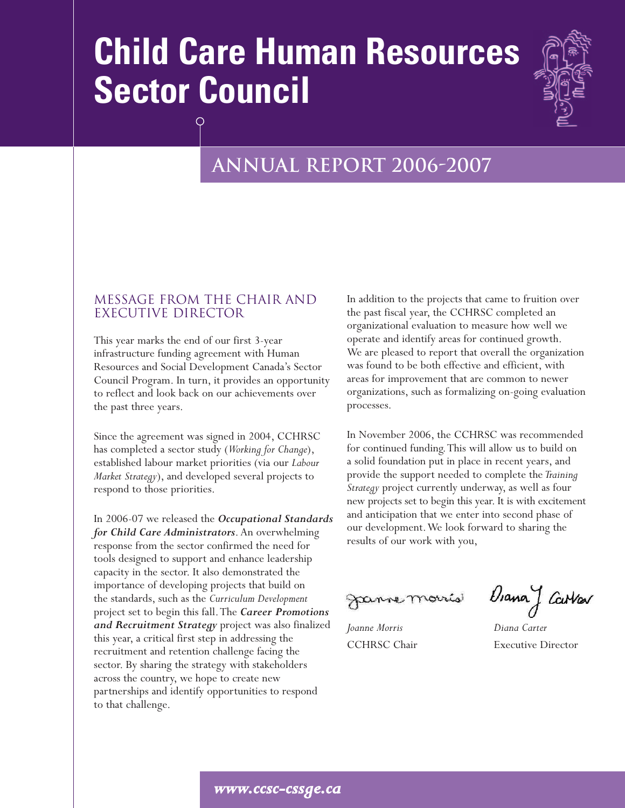# **Child Care Human Resources Sector Council**



# **Annual report 2006-2007**

# Message From the Chair and Executive Director

This year marks the end of our first 3-year infrastructure funding agreement with Human Resources and Social Development Canada's Sector Council Program. In turn, it provides an opportunity to reflect and look back on our achievements over the past three years.

Since the agreement was signed in 2004, CCHRSC has completed a sector study (*Working for Change*), established labour market priorities (via our *Labour Market Strategy*), and developed several projects to respond to those priorities.

In 2006-07 we released the *Occupational Standards for Child Care Administrators*. An overwhelming response from the sector confirmed the need for tools designed to support and enhance leadership capacity in the sector. It also demonstrated the importance of developing projects that build on the standards, such as the *Curriculum Development* project set to begin this fall.The *Career Promotions and Recruitment Strategy* project was also finalized this year, a critical first step in addressing the recruitment and retention challenge facing the sector. By sharing the strategy with stakeholders across the country, we hope to create new partnerships and identify opportunities to respond to that challenge.

In addition to the projects that came to fruition over the past fiscal year, the CCHRSC completed an organizational evaluation to measure how well we operate and identify areas for continued growth. We are pleased to report that overall the organization was found to be both effective and efficient, with areas for improvement that are common to newer organizations, such as formalizing on-going evaluation processes.

In November 2006, the CCHRSC was recommended for continued funding.This will allow us to build on a solid foundation put in place in recent years, and provide the support needed to complete the *Training Strategy* project currently underway, as well as four new projects set to begin this year. It is with excitement and anticipation that we enter into second phase of our development.We look forward to sharing the results of our work with you,

*Joanne Morris Diana Carter*

Fanne morris DanaJ Cartar

CCHRSC Chair Executive Director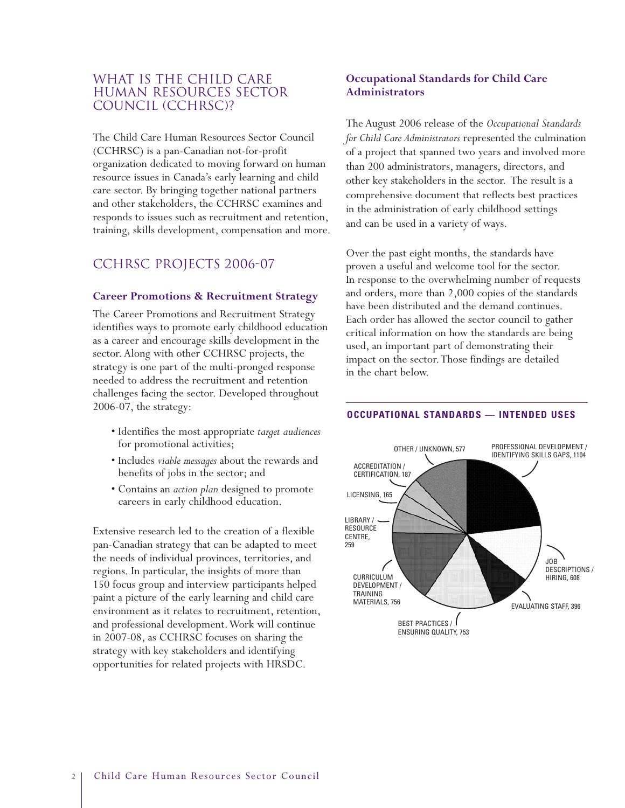# WHAT IS THE CHILD CARE Human Resources Sector Council (CCHRSC)?

The Child Care Human Resources Sector Council (CCHRSC) is a pan-Canadian not-for-profit organization dedicated to moving forward on human resource issues in Canada's early learning and child care sector. By bringing together national partners and other stakeholders, the CCHRSC examines and responds to issues such as recruitment and retention, training, skills development, compensation and more.

# CCHRSC PROJECTS 2006-07

#### **Career Promotions & Recruitment Strategy**

The Career Promotions and Recruitment Strategy identifies ways to promote early childhood education as a career and encourage skills development in the sector. Along with other CCHRSC projects, the strategy is one part of the multi-pronged response needed to address the recruitment and retention challenges facing the sector. Developed throughout 2006-07, the strategy:

- Identifies the most appropriate *target audiences* for promotional activities;
- Includes *viable messages* about the rewards and benefits of jobs in the sector; and
- Contains an *action plan* designed to promote careers in early childhood education.

Extensive research led to the creation of a flexible pan-Canadian strategy that can be adapted to meet the needs of individual provinces, territories, and regions. In particular, the insights of more than 150 focus group and interview participants helped paint a picture of the early learning and child care environment as it relates to recruitment, retention, and professional development.Work will continue in 2007-08, as CCHRSC focuses on sharing the strategy with key stakeholders and identifying opportunities for related projects with HRSDC.

# **Occupational Standards for Child Care Administrators**

The August 2006 release of the *Occupational Standards for Child Care Administrators* represented the culmination of a project that spanned two years and involved more than 200 administrators, managers, directors, and other key stakeholders in the sector. The result is a comprehensive document that reflects best practices in the administration of early childhood settings and can be used in a variety of ways.

Over the past eight months, the standards have proven a useful and welcome tool for the sector. In response to the overwhelming number of requests and orders, more than 2,000 copies of the standards have been distributed and the demand continues. Each order has allowed the sector council to gather critical information on how the standards are being used, an important part of demonstrating their impact on the sector.Those findings are detailed in the chart below.



#### **OCCUPATIONAL STANDARDS — INTENDED USES**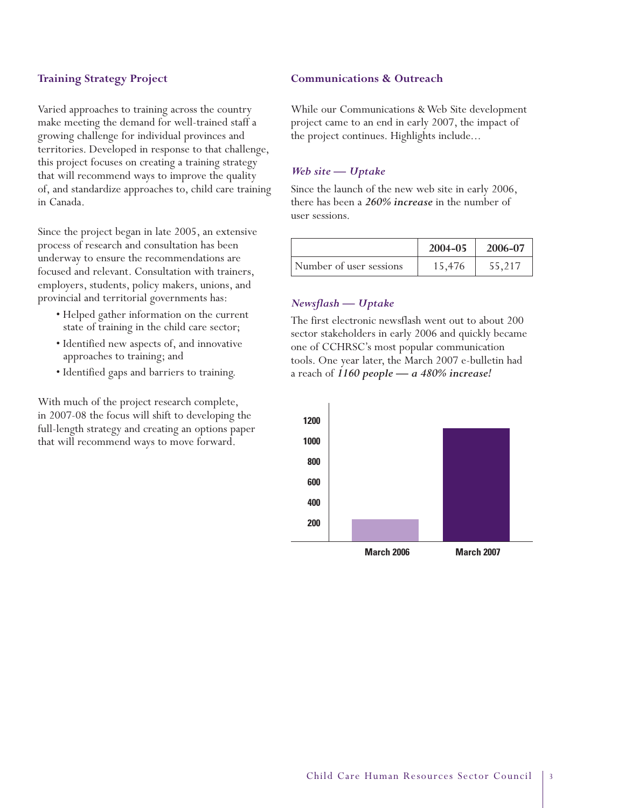#### **Training Strategy Project**

Varied approaches to training across the country make meeting the demand for well-trained staff a growing challenge for individual provinces and territories. Developed in response to that challenge, this project focuses on creating a training strategy that will recommend ways to improve the quality of, and standardize approaches to, child care training in Canada.

Since the project began in late 2005, an extensive process of research and consultation has been underway to ensure the recommendations are focused and relevant. Consultation with trainers, employers, students, policy makers, unions, and provincial and territorial governments has:

- Helped gather information on the current state of training in the child care sector;
- Identified new aspects of, and innovative approaches to training; and
- Identified gaps and barriers to training.

With much of the project research complete, in 2007-08 the focus will shift to developing the full-length strategy and creating an options paper that will recommend ways to move forward.

#### **Communications & Outreach**

While our Communications & Web Site development project came to an end in early 2007, the impact of the project continues. Highlights include...

#### *Web site — Uptake*

Since the launch of the new web site in early 2006, there has been a *260% increase* in the number of user sessions.

|                         | 2004-05 | 2006-07 |
|-------------------------|---------|---------|
| Number of user sessions | 15,476  | 55,217  |

#### *Newsflash — Uptake*

The first electronic newsflash went out to about 200 sector stakeholders in early 2006 and quickly became one of CCHRSC's most popular communication tools. One year later, the March 2007 e-bulletin had a reach of *1160 people — a 480% increase!*

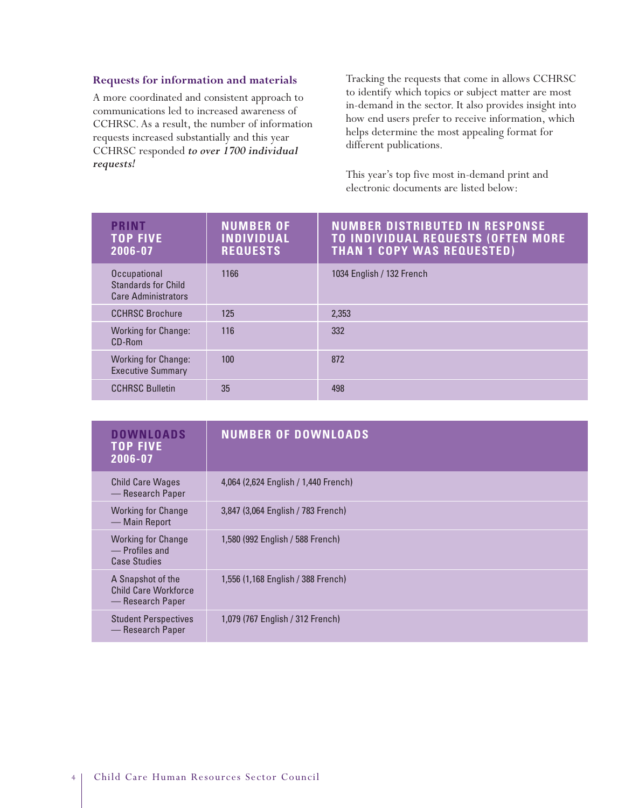#### **Requests for information and materials**

A more coordinated and consistent approach to communications led to increased awareness of CCHRSC. As a result, the number of information requests increased substantially and this year CCHRSC responded *to over 1700 individual requests!*

Tracking the requests that come in allows CCHRSC to identify which topics or subject matter are most in-demand in the sector. It also provides insight into how end users prefer to receive information, which helps determine the most appealing format for different publications.

This year's top five most in-demand print and electronic documents are listed below:

| <b>PRINT</b><br><b>TOP FIVE</b><br>2006-07                               | <b>NUMBER OF</b><br><b>INDIVIDUAL</b><br><b>REQUESTS</b> | <b>NUMBER DISTRIBUTED IN RESPONSE</b><br><b>TO INDIVIDUAL REQUESTS (OFTEN MORE</b><br><b>THAN 1 COPY WAS REQUESTED)</b> |
|--------------------------------------------------------------------------|----------------------------------------------------------|-------------------------------------------------------------------------------------------------------------------------|
| Occupational<br><b>Standards for Child</b><br><b>Care Administrators</b> | 1166                                                     | 1034 English / 132 French                                                                                               |
| <b>CCHRSC Brochure</b>                                                   | 125                                                      | 2,353                                                                                                                   |
| <b>Working for Change:</b><br>CD-Rom                                     | 116                                                      | 332                                                                                                                     |
| <b>Working for Change:</b><br><b>Executive Summary</b>                   | 100                                                      | 872                                                                                                                     |
| <b>CCHRSC Bulletin</b>                                                   | 35                                                       | 498                                                                                                                     |

| <b>DOWNLOADS</b><br><b>TOP FIVE</b><br>2006-07                     | <b>NUMBER OF DOWNLOADS</b>           |
|--------------------------------------------------------------------|--------------------------------------|
| <b>Child Care Wages</b><br>- Research Paper                        | 4,064 (2,624 English / 1,440 French) |
| <b>Working for Change</b><br>— Main Report                         | 3,847 (3,064 English / 783 French)   |
| <b>Working for Change</b><br>- Profiles and<br><b>Case Studies</b> | 1,580 (992 English / 588 French)     |
| A Snapshot of the<br>Child Care Workforce<br>— Research Paper      | 1,556 (1,168 English / 388 French)   |
| <b>Student Perspectives</b><br>— Research Paper                    | 1,079 (767 English / 312 French)     |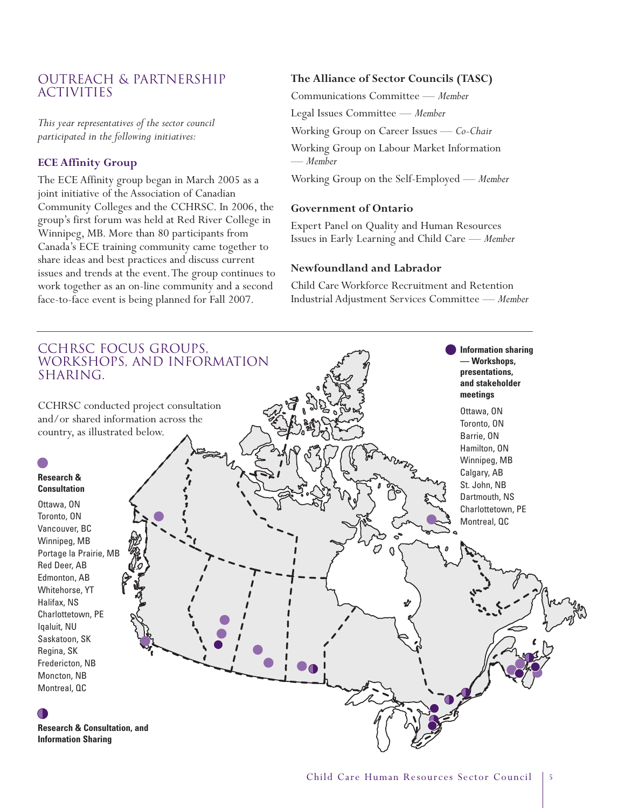# Outreach & Partnership **ACTIVITIES**

*This year representatives of the sector council participated in the following initiatives:*

#### **ECE Affinity Group**

The ECE Affinity group began in March 2005 as a joint initiative of the Association of Canadian Community Colleges and the CCHRSC. In 2006, the group's first forum was held at Red River College in Winnipeg, MB. More than 80 participants from Canada's ECE training community came together to share ideas and best practices and discuss current issues and trends at the event.The group continues to work together as an on-line community and a second face-to-face event is being planned for Fall 2007.

# **The Alliance of Sector Councils (TASC)**

Communications Committee *— Member*

Legal Issues Committee *— Member*

Working Group on Career Issues *— Co-Chair*

Working Group on Labour Market Information *— Member*

Working Group on the Self-Employed *— Member*

#### **Government of Ontario**

Expert Panel on Quality and Human Resources Issues in Early Learning and Child Care *— Member*

#### **Newfoundland and Labrador**

Child Care Workforce Recruitment and Retention Industrial Adjustment Services Committee *— Member*

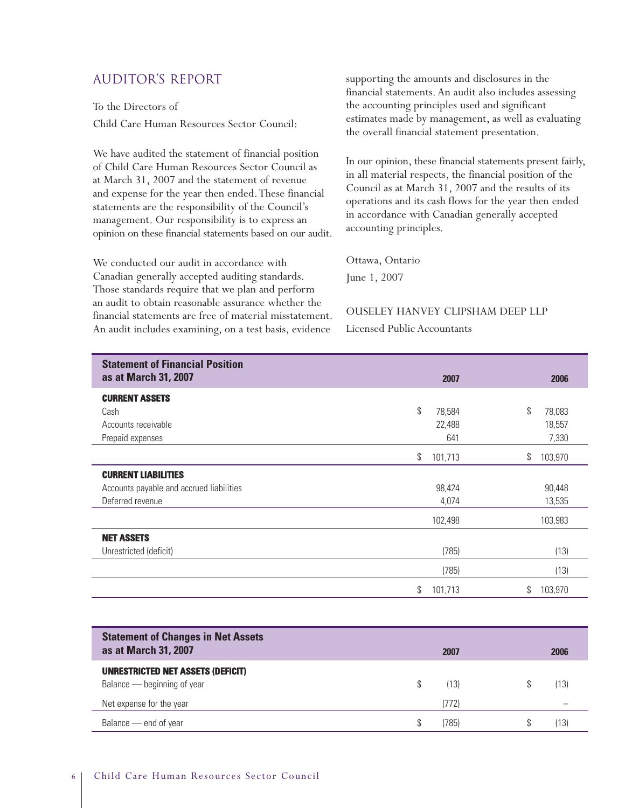# Auditor's report

To the Directors of Child Care Human Resources Sector Council:

We have audited the statement of financial position of Child Care Human Resources Sector Council as at March 31, 2007 and the statement of revenue and expense for the year then ended.These financial statements are the responsibility of the Council's management. Our responsibility is to express an opinion on these financial statements based on our audit.

We conducted our audit in accordance with Canadian generally accepted auditing standards. Those standards require that we plan and perform an audit to obtain reasonable assurance whether the financial statements are free of material misstatement. An audit includes examining, on a test basis, evidence

supporting the amounts and disclosures in the financial statements. An audit also includes assessing the accounting principles used and significant estimates made by management, as well as evaluating the overall financial statement presentation.

In our opinion, these financial statements present fairly, in all material respects, the financial position of the Council as at March 31, 2007 and the results of its operations and its cash flows for the year then ended in accordance with Canadian generally accepted accounting principles.

Ottawa, Ontario June 1, 2007

# OUSELEY HANVEY CLIPSHAM DEEP LLP

Licensed Public Accountants

| <b>Statement of Financial Position</b><br>as at March 31, 2007 | 2007          | 2006          |
|----------------------------------------------------------------|---------------|---------------|
| <b>CURRENT ASSETS</b>                                          |               |               |
| Cash                                                           | \$<br>78,584  | \$<br>78,083  |
| Accounts receivable                                            | 22,488        | 18,557        |
| Prepaid expenses                                               | 641           | 7,330         |
|                                                                | \$<br>101,713 | \$<br>103,970 |
| <b>CURRENT LIABILITIES</b>                                     |               |               |
| Accounts payable and accrued liabilities                       | 98,424        | 90,448        |
| Deferred revenue                                               | 4,074         | 13,535        |
|                                                                | 102,498       | 103,983       |
| <b>NET ASSETS</b>                                              |               |               |
| Unrestricted (deficit)                                         | (785)         | (13)          |
|                                                                | (785)         | (13)          |
|                                                                | \$<br>101,713 | \$<br>103,970 |

| <b>Statement of Changes in Net Assets</b><br>as at March 31, 2007       | 2007  | 2006 |
|-------------------------------------------------------------------------|-------|------|
| <b>UNRESTRICTED NET ASSETS (DEFICIT)</b><br>Balance — beginning of year | (13)  | (13) |
| Net expense for the year                                                | (772) |      |
| Balance — end of year                                                   | (785) | '13) |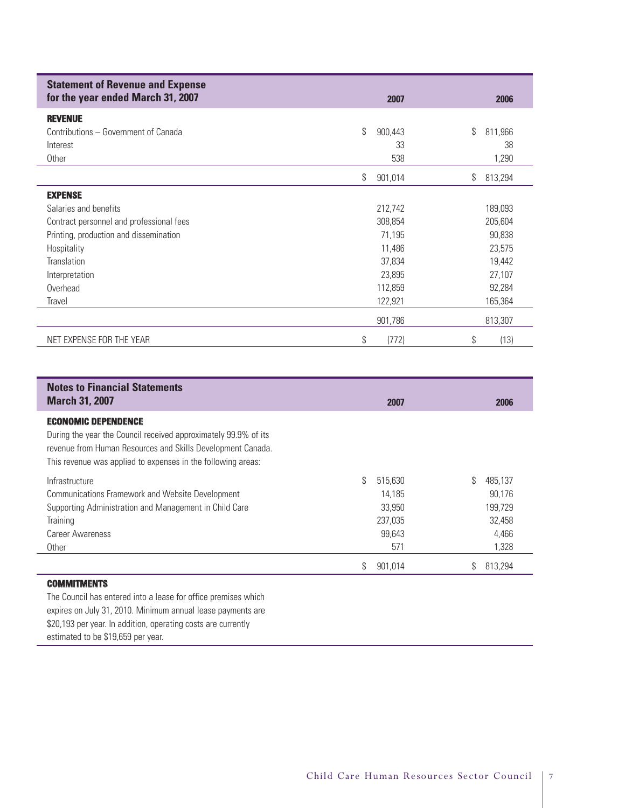| <b>Statement of Revenue and Expense</b><br>for the year ended March 31, 2007 | 2007          | 2006          |
|------------------------------------------------------------------------------|---------------|---------------|
| <b>REVENUE</b>                                                               |               |               |
| Contributions – Government of Canada                                         | \$<br>900,443 | \$<br>811,966 |
| Interest                                                                     | 33            | 38            |
| Other                                                                        | 538           | 1,290         |
|                                                                              | \$<br>901,014 | \$<br>813,294 |
| <b>EXPENSE</b>                                                               |               |               |
| Salaries and benefits                                                        | 212,742       | 189,093       |
| Contract personnel and professional fees                                     | 308,854       | 205,604       |
| Printing, production and dissemination                                       | 71,195        | 90,838        |
| Hospitality                                                                  | 11,486        | 23,575        |
| Translation                                                                  | 37,834        | 19,442        |
| Interpretation                                                               | 23,895        | 27,107        |
| Overhead                                                                     | 112,859       | 92,284        |
| Travel                                                                       | 122,921       | 165,364       |
|                                                                              | 901,786       | 813,307       |
| NET EXPENSE FOR THE YEAR                                                     | \$<br>(772)   | \$<br>(13)    |

| <b>Notes to Financial Statements</b><br><b>March 31, 2007</b>                                                                                                                                                                | 2007          | 2006          |
|------------------------------------------------------------------------------------------------------------------------------------------------------------------------------------------------------------------------------|---------------|---------------|
| <b>ECONOMIC DEPENDENCE</b><br>During the year the Council received approximately 99.9% of its<br>revenue from Human Resources and Skills Development Canada.<br>This revenue was applied to expenses in the following areas: |               |               |
| Infrastructure                                                                                                                                                                                                               | \$<br>515,630 | \$<br>485.137 |
| Communications Framework and Website Development                                                                                                                                                                             | 14.185        | 90.176        |
| Supporting Administration and Management in Child Care                                                                                                                                                                       | 33.950        | 199,729       |
| Training                                                                                                                                                                                                                     | 237,035       | 32,458        |
| <b>Career Awareness</b>                                                                                                                                                                                                      | 99.643        | 4.466         |
| Other                                                                                                                                                                                                                        | 571           | 1,328         |
|                                                                                                                                                                                                                              | \$<br>901,014 | \$<br>813,294 |
| <b>COMMITMENTS</b>                                                                                                                                                                                                           |               |               |

The Council has entered into a lease for office premises which expires on July 31, 2010. Minimum annual lease payments are \$20,193 per year. In addition, operating costs are currently estimated to be \$19,659 per year.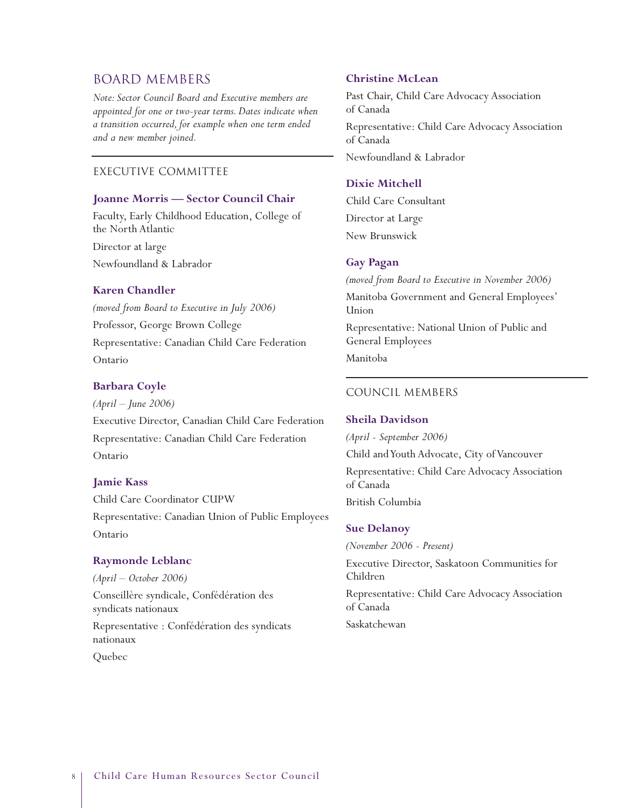# BOARD MEMBERS

*Note: Sector Council Board and Executive members are appointed for one or two-year terms. Dates indicate when a transition occurred, for example when one term ended and a new member joined.*

### Executive Committee

#### **Joanne Morris — Sector Council Chair**

Faculty, Early Childhood Education, College of the North Atlantic

Director at large Newfoundland & Labrador

#### **Karen Chandler**

*(moved from Board to Executive in July 2006)* Professor, George Brown College Representative: Canadian Child Care Federation Ontario

#### **Barbara Coyle**

*(April – June 2006)*

Executive Director, Canadian Child Care Federation Representative: Canadian Child Care Federation Ontario

#### **Jamie Kass**

Child Care Coordinator CUPW Representative: Canadian Union of Public Employees Ontario

#### **Raymonde Leblanc**

*(April – October 2006)* Conseillère syndicale, Confédération des syndicats nationaux Representative : Confédération des syndicats nationaux Quebec

#### **Christine McLean**

Past Chair, Child Care Advocacy Association of Canada

Representative: Child Care Advocacy Association of Canada Newfoundland & Labrador

#### **Dixie Mitchell**

Child Care Consultant Director at Large New Brunswick

#### **Gay Pagan**

*(moved from Board to Executive in November 2006)*

Manitoba Government and General Employees' Union

Representative: National Union of Public and General Employees

Manitoba

#### Council Members

#### **Sheila Davidson**

*(April - September 2006)* Child and Youth Advocate, City of Vancouver Representative: Child Care Advocacy Association of Canada British Columbia

#### **Sue Delanoy**

*(November 2006 - Present)*

Executive Director, Saskatoon Communities for Children

Representative: Child Care Advocacy Association of Canada

Saskatchewan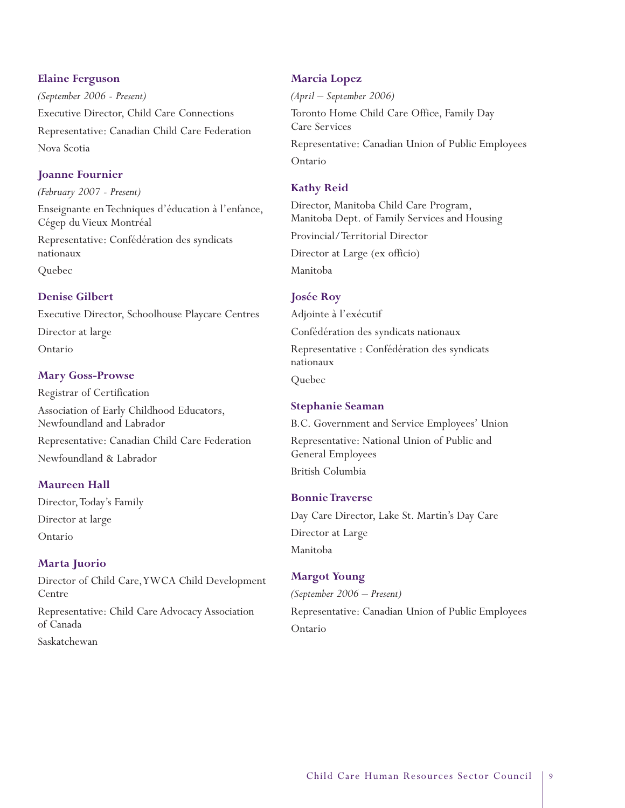#### **Elaine Ferguson**

*(September 2006 - Present)* Executive Director, Child Care Connections Representative: Canadian Child Care Federation Nova Scotia

# **Joanne Fournier**

*(February 2007 - Present)*

Enseignante en Techniques d'éducation à l'enfance, Cégep du Vieux Montréal

Representative: Confédération des syndicats nationaux

Quebec

# **Denise Gilbert**

Executive Director, Schoolhouse Playcare Centres Director at large Ontario

# **Mary Goss-Prowse**

Registrar of Certification Association of Early Childhood Educators, Newfoundland and Labrador Representative: Canadian Child Care Federation Newfoundland & Labrador

# **Maureen Hall**

Director, Today's Family Director at large Ontario

# **Marta Juorio**

Director of Child Care,YWCA Child Development Centre Representative: Child Care Advocacy Association of Canada Saskatchewan

# **Marcia Lopez**

*(April – September 2006)* Toronto Home Child Care Office, Family Day Care Services Representative: Canadian Union of Public Employees Ontario

# **Kathy Reid**

Director, Manitoba Child Care Program, Manitoba Dept. of Family Services and Housing Provincial/Territorial Director Director at Large (ex officio) Manitoba

# **Josée Roy**

Adjointe à l'exécutif Confédération des syndicats nationaux Representative : Confédération des syndicats nationaux Quebec

# **Stephanie Seaman**

B.C. Government and Service Employees' Union Representative: National Union of Public and General Employees British Columbia

# **Bonnie Traverse**

Day Care Director, Lake St. Martin's Day Care Director at Large Manitoba

# **Margot Young**

*(September 2006 – Present)* Representative: Canadian Union of Public Employees Ontario